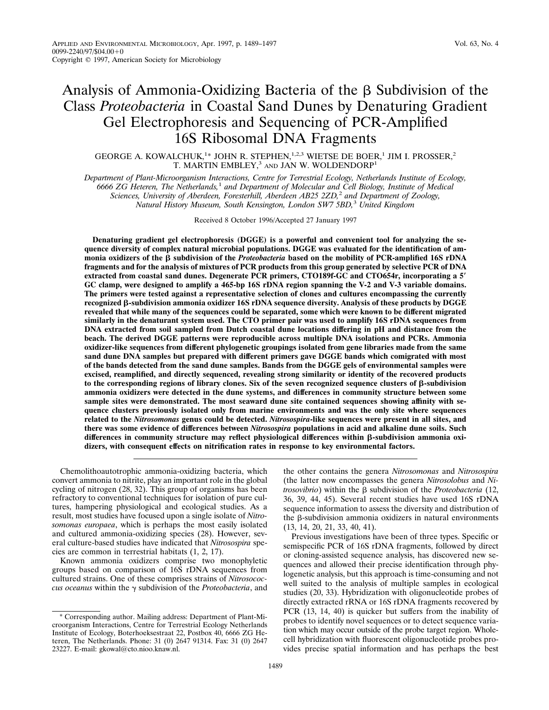# Analysis of Ammonia-Oxidizing Bacteria of the  $\beta$  Subdivision of the Class *Proteobacteria* in Coastal Sand Dunes by Denaturing Gradient Gel Electrophoresis and Sequencing of PCR-Amplified 16S Ribosomal DNA Fragments

## GEORGE A. KOWALCHUK,<sup>1\*</sup> JOHN R. STEPHEN,<sup>1,2,3</sup> WIETSE DE BOER,<sup>1</sup> JIM I. PROSSER,<sup>2</sup> T. MARTIN EMBLEY,<sup>3</sup> AND JAN W. WOLDENDORP<sup>1</sup>

*Department of Plant-Microorganism Interactions, Centre for Terrestrial Ecology, Netherlands Institute of Ecology, 6666 ZG Heteren, The Netherlands,*<sup>1</sup> *and Department of Molecular and Cell Biology, Institute of Medical Sciences, University of Aberdeen, Foresterhill, Aberdeen AB25 2ZD,*<sup>2</sup> *and Department of Zoology, Natural History Museum, South Kensington, London SW7 5BD,*<sup>3</sup> *United Kingdom*

Received 8 October 1996/Accepted 27 January 1997

**Denaturing gradient gel electrophoresis (DGGE) is a powerful and convenient tool for analyzing the sequence diversity of complex natural microbial populations. DGGE was evaluated for the identification of ammonia oxidizers of the** b **subdivision of the** *Proteobacteria* **based on the mobility of PCR-amplified 16S rDNA fragments and for the analysis of mixtures of PCR products from this group generated by selective PCR of DNA extracted from coastal sand dunes. Degenerate PCR primers, CTO189f-GC and CTO654r, incorporating a 5**\* **GC clamp, were designed to amplify a 465-bp 16S rDNA region spanning the V-2 and V-3 variable domains. The primers were tested against a representative selection of clones and cultures encompassing the currently recognized** b**-subdivision ammonia oxidizer 16S rDNA sequence diversity. Analysis of these products by DGGE revealed that while many of the sequences could be separated, some which were known to be different migrated similarly in the denaturant system used. The CTO primer pair was used to amplify 16S rDNA sequences from DNA extracted from soil sampled from Dutch coastal dune locations differing in pH and distance from the beach. The derived DGGE patterns were reproducible across multiple DNA isolations and PCRs. Ammonia oxidizer-like sequences from different phylogenetic groupings isolated from gene libraries made from the same sand dune DNA samples but prepared with different primers gave DGGE bands which comigrated with most of the bands detected from the sand dune samples. Bands from the DGGE gels of environmental samples were excised, reamplified, and directly sequenced, revealing strong similarity or identity of the recovered products to the corresponding regions of library clones. Six of the seven recognized sequence clusters of** b**-subdivision ammonia oxidizers were detected in the dune systems, and differences in community structure between some sample sites were demonstrated. The most seaward dune site contained sequences showing affinity with sequence clusters previously isolated only from marine environments and was the only site where sequences related to the** *Nitrosomonas* **genus could be detected.** *Nitrosospira***-like sequences were present in all sites, and there was some evidence of differences between** *Nitrosospira* **populations in acid and alkaline dune soils. Such** differences in community structure may reflect physiological differences within β-subdivision ammonia oxi**dizers, with consequent effects on nitrification rates in response to key environmental factors.**

Chemolithoautotrophic ammonia-oxidizing bacteria, which convert ammonia to nitrite, play an important role in the global cycling of nitrogen (28, 32). This group of organisms has been refractory to conventional techniques for isolation of pure cultures, hampering physiological and ecological studies. As a result, most studies have focused upon a single isolate of *Nitrosomonas europaea*, which is perhaps the most easily isolated and cultured ammonia-oxidizing species (28). However, several culture-based studies have indicated that *Nitrosospira* species are common in terrestrial habitats (1, 2, 17).

Known ammonia oxidizers comprise two monophyletic groups based on comparison of 16S rDNA sequences from cultured strains. One of these comprises strains of *Nitrosococcus oceanus* within the  $\gamma$  subdivision of the *Proteobacteria*, and the other contains the genera *Nitrosomonas* and *Nitrosospira* (the latter now encompasses the genera *Nitrosolobus* and *Nitrosovibrio*) within the  $\beta$  subdivision of the *Proteobacteria* (12, 36, 39, 44, 45). Several recent studies have used 16S rDNA sequence information to assess the diversity and distribution of the  $\beta$ -subdivision ammonia oxidizers in natural environments (13, 14, 20, 21, 33, 40, 41).

Previous investigations have been of three types. Specific or semispecific PCR of 16S rDNA fragments, followed by direct or cloning-assisted sequence analysis, has discovered new sequences and allowed their precise identification through phylogenetic analysis, but this approach is time-consuming and not well suited to the analysis of multiple samples in ecological studies (20, 33). Hybridization with oligonucleotide probes of directly extracted rRNA or 16S rDNA fragments recovered by PCR (13, 14, 40) is quicker but suffers from the inability of probes to identify novel sequences or to detect sequence variation which may occur outside of the probe target region. Wholecell hybridization with fluorescent oligonucleotide probes provides precise spatial information and has perhaps the best

<sup>\*</sup> Corresponding author. Mailing address: Department of Plant-Microorganism Interactions, Centre for Terrestrial Ecology Netherlands Institute of Ecology, Boterhoeksestraat 22, Postbox 40, 6666 ZG Heteren, The Netherlands. Phone: 31 (0) 2647 91314. Fax: 31 (0) 2647 23227. E-mail: gkowal@cto.nioo.knaw.nl.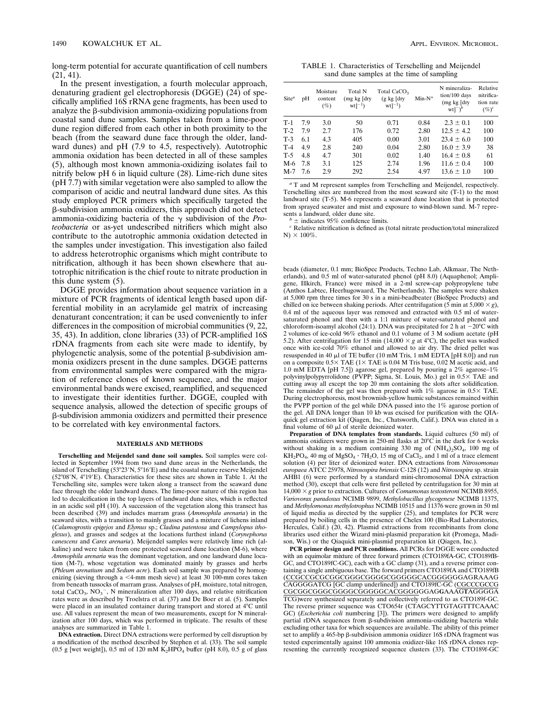long-term potential for accurate quantification of cell numbers (21, 41).

In the present investigation, a fourth molecular approach, denaturing gradient gel electrophoresis (DGGE) (24) of specifically amplified 16S rRNA gene fragments, has been used to analyze the  $\beta$ -subdivision ammonia-oxidizing populations from coastal sand dune samples. Samples taken from a lime-poor dune region differed from each other in both proximity to the beach (from the seaward dune face through the older, landward dunes) and pH (7.9 to 4.5, respectively). Autotrophic ammonia oxidation has been detected in all of these samples (5), although most known ammonia-oxidizing isolates fail to nitrify below pH 6 in liquid culture (28). Lime-rich dune sites (pH 7.7) with similar vegetation were also sampled to allow the comparison of acidic and neutral landward dune sites. As this study employed PCR primers which specifically targeted the b-subdivision ammonia oxidizers, this approach did not detect ammonia-oxidizing bacteria of the  $\gamma$  subdivision of the *Proteobacteria* or as-yet undescribed nitrifiers which might also contribute to the autotrophic ammonia oxidation detected in the samples under investigation. This investigation also failed to address heterotrophic organisms which might contribute to nitrification, although it has been shown elsewhere that autotrophic nitrification is the chief route to nitrate production in this dune system (5).

DGGE provides information about sequence variation in a mixture of PCR fragments of identical length based upon differential mobility in an acrylamide gel matrix of increasing denaturant concentration; it can be used conveniently to infer differences in the composition of microbial communities (9, 22, 35, 43). In addition, clone libraries (33) of PCR-amplified 16S rDNA fragments from each site were made to identify, by phylogenetic analysis, some of the potential  $\beta$ -subdivision ammonia oxidizers present in the dune samples. DGGE patterns from environmental samples were compared with the migration of reference clones of known sequence, and the major environmental bands were excised, reamplified, and sequenced to investigate their identities further. DGGE, coupled with sequence analysis, allowed the detection of specific groups of b-subdivision ammonia oxidizers and permitted their presence to be correlated with key environmental factors.

#### **MATERIALS AND METHODS**

**Terschelling and Meijendel sand dune soil samples.** Soil samples were collected in September 1994 from two sand dune areas in the Netherlands, the island of Terschelling (53°23'N, 5°16'E) and the coastal nature reserve Meijendel (52°08'N, 4°19'E). Characteristics for these sites are shown in Table 1. At the Terschelling site, samples were taken along a transect from the seaward dune face through the older landward dunes. The lime-poor nature of this region has led to decalcification in the top layers of landward dune sites, which is reflected in an acidic soil pH (10). A succession of the vegetation along this transect has been described (39) and includes marram grass (*Ammophila arenaria*) in the seaward sites, with a transition to mainly grasses and a mixture of lichens inland (*Calamogrostis epigejos* and *Elymus* sp.; *Cladina patentosa* and *Campylopus ithoglexus*), and grasses and sedges at the locations furthest inland (*Corynephorus canescens* and *Carex arenaria*). Meijendel samples were relatively lime rich (alkaline) and were taken from one protected seaward dune location (M-6), where *Ammophila arenaria* was the dominant vegetation, and one landward dune location (M-7), whose vegetation was dominated mainly by grasses and herbs (*Phleum arenatium* and *Sedum acre*). Each soil sample was prepared by homogenizing (sieving through a  $\leq$ 4-mm mesh sieve) at least 30 100-mm cores taken from beneath tussocks of marram grass. Analyses of pH, moisture, total nitrogen, total CaCO<sub>3</sub>, NO<sub>3</sub><sup>-</sup>, N mineralization after 100 days, and relative nitrification rates were as described by Troelstra et al. (37) and De Boer et al. (5). Samples were placed in an insulated container during transport and stored at 4°C until use. All values represent the mean of two measurements, except for N mineralization after 100 days, which was performed in triplicate. The results of these analyses are summarized in Table 1.

**DNA extraction.** Direct DNA extractions were performed by cell disruption by a modification of the method described by Stephen et al. (33). The soil sample (0.5 g [wet weight]), 0.5 ml of 120 mM  $K_2HPO_4$  buffer (pH 8.0), 0.5 g of glass

TABLE 1. Characteristics of Terschelling and Meijendel sand dune samples at the time of sampling

| Site <sup>a</sup> | pH  | Moisture<br>content<br>(%) | Total N<br>$(mg \text{ kg}$ $\text{dry}$<br>$wtl^{-1}$ ) | Total CaCO <sub>3</sub><br>$(g \; kg \; [dry])$<br>$wtl^{-1}$ | $Min-N^*$ | N mineraliza-<br>tion/100 days<br>$(mg \text{ kg}$ $\text{dry}$<br>$wt$ <sup>-<math>)^b</math></sup> | Relative<br>nitrifica-<br>tion rate<br>$(\%)^c$ |
|-------------------|-----|----------------------------|----------------------------------------------------------|---------------------------------------------------------------|-----------|------------------------------------------------------------------------------------------------------|-------------------------------------------------|
| $T-1$             | 7.9 | 3.0                        | 50                                                       | 0.71                                                          | 0.84      | $2.3 \pm 0.1$                                                                                        | 100                                             |
| $T-2$             | 7.9 | 2.7                        | 176                                                      | 0.72                                                          | 2.80      | $12.5 \pm 4.2$                                                                                       | 100                                             |
| $T-3$             | 6.1 | 4.3                        | 405                                                      | 0.00                                                          | 3.01      | $23.4 \pm 6.0$                                                                                       | 100                                             |
| $T-4$             | 4.9 | 2.8                        | 240                                                      | 0.04                                                          | 2.80      | $16.0 \pm 3.9$                                                                                       | 38                                              |
| $T-5$             | 4.8 | 4.7                        | 301                                                      | 0.02                                                          | 1.40      | $16.4 \pm 0.8$                                                                                       | 61                                              |
| $M-6$             | 7.8 | 3.1                        | 125                                                      | 2.74                                                          | 1.96      | $11.6 \pm 0.4$                                                                                       | 100                                             |
| $M-7$             | 7.6 | 2.9                        | 292                                                      | 2.54                                                          | 4.97      | $13.6 \pm 1.0$                                                                                       | 100                                             |

*<sup>a</sup>* T and M represent samples from Terschelling and Meijendel, respectively. Terschelling sites are numbered from the most seaward site (T-1) to the most landward site (T-5). M-6 represents a seaward dune location that is protected from sprayed seawater and mist and exposure to wind-blown sand. M-7 repre-

 $\frac{b}{c}$  ± indicates 95% confidence limits. *c* Relative nitrification is defined as (total nitrate production/total mineralized  $\text{N} \times 100\%$ .

beads (diameter, 0.1 mm; BioSpec Products, Techno Lab, Alkmaar, The Netherlands), and 0.5 ml of water-saturated phenol (pH 8.0) (Aquaphenol; Ampligene, Illkirch, France) were mixed in a 2-ml screw-cap polypropylene tube (Anthos Labtec, Heerhugowaard, The Netherlands). The samples were shaken at 5,000 rpm three times for 30 s in a mini-beadbeater (BioSpec Products) and chilled on ice between shaking periods. After centrifugation (5 min at 5,000  $\times g$ ), 0.4 ml of the aqueous layer was removed and extracted with 0.5 ml of watersaturated phenol and then with a 1:1 mixture of water-saturated phenol and chloroform-isoamyl alcohol (24:1). DNA was precipitated for 2 h at  $-20^{\circ}$ C with 2 volumes of ice-cold 96% ethanol and 0.1 volume of 3 M sodium acetate (pH 5.2). After centrifugation for 15 min (14,000  $\times$  *g* at 4°C), the pellet was washed once with ice-cold 70% ethanol and allowed to air dry. The dried pellet was resuspended in 40  $\mu$ l of TE buffer (10 mM Tris, 1 mM EDTA [pH 8.0]) and run on a composite  $0.5\times$  TAE (1 $\times$  TAE is 0.04 M Tris base, 0.02 M acetic acid, and 1.0 mM EDTA [pH 7.5]) agarose gel, prepared by pouring a 2% agarose–1% polyvinylpolypyrrolidone (PVPP; Sigma, St. Louis, Mo.) gel in  $0.5 \times$  TAE and cutting away all except the top 20 mm containing the slots after solidification. The remainder of the gel was then prepared with  $1\%$  agarose in  $0.5\times$  TAE. During electrophoresis, most brownish-yellow humic substances remained within the PVPP portion of the gel while DNA passed into the 1% agarose portion of the gel. All DNA longer than 10 kb was excised for purification with the QIAquick gel extraction kit (Qiagen, Inc., Chatsworth, Calif.). DNA was eluted in a final volume of  $60 \mu l$  of sterile deionized water.

**Preparation of DNA templates from standards.** Liquid cultures (50 ml) of ammonia oxidizers were grown in 250-ml flasks at  $20^{\circ}$ C in the dark for 6 weeks without shaking in a medium containing 330 mg of  $(NH<sub>4</sub>)<sub>2</sub>SO<sub>4</sub>$ , 100 mg of  $KH_2PO_4$ , 40 mg of  $MgSO_4 \cdot 7H_2O$ , 15 mg of CaCl<sub>2</sub>, and 1 ml of a trace element solution (4) per liter of deionized water. DNA extractions from *Nitrosomonas europaea* ATCC 25978, *Nitrosospira briensis* C-128 (12) and *Nitrosospira* sp. strain AHB1 (6) were performed by a standard mini-chromosomal DNA extraction method (30), except that cells were first pelleted by centrifugation for 30 min at 14,000 3 *g* prior to extraction. Cultures of *Comamonas testosteroni* NCIMB 8955, *Variovorax paradoxus* NCIMB 9899, *Methylobacillus glycogenese* NCIMB 11375, and *Methylomonas methylotrophus* NCIMB 10515 and 11376 were grown in 50 ml of liquid media as directed by the supplier (25), and templates for PCR were prepared by boiling cells in the presence of Chelex 100 (Bio-Rad Laboratories, Hercules, Calif.) (20, 42). Plasmid extractions from recombinants from clone libraries used either the Wizard mini-plasmid preparation kit (Promega, Madison, Wis.) or the Qiaquick mini-plasmid preparation kit (Qiagen, Inc.).

**PCR primer design and PCR conditions.** All PCRs for DGGE were conducted with an equimolar mixture of three forward primers (CTO189fA-GC, CTO189fB-GC, and CTO189fC-GC), each with a GC clamp (31), and a reverse primer containing a single ambiguous base. The forward primers CTO189fA and CTO189fB (CCGCCGCGCGGCGGGCGGGGCGGGGGCACGGGGGGAGRAAAG CAGGGGATCG [GC clamp underlined]) and CTO189fC-GC (CGCCCGCCG CGCGGCGGGCGGGGCGGGGGCACGGGGGGAG**G**AAAG**T**AGGGGA TCG)were synthesized separately and collectively referred to as CTO189f-GC. The reverse primer sequence was CTO654r (CTAGCYTTGTAGTTTCAAAC GC) (*Escherichia coli* numbering [3]). The primers were designed to amplify partial rDNA sequences from  $\beta$ -subdivision ammonia-oxidizing bacteria while excluding other taxa for which sequences are available. The ability of this primer set to amplify a 465-bp  $\beta$ -subdivision ammonia oxidizer 16S rDNA fragment was tested experimentally against 100 ammonia oxidizer-like 16S rDNA clones representing the currently recognized sequence clusters (33). The CTO189f-GC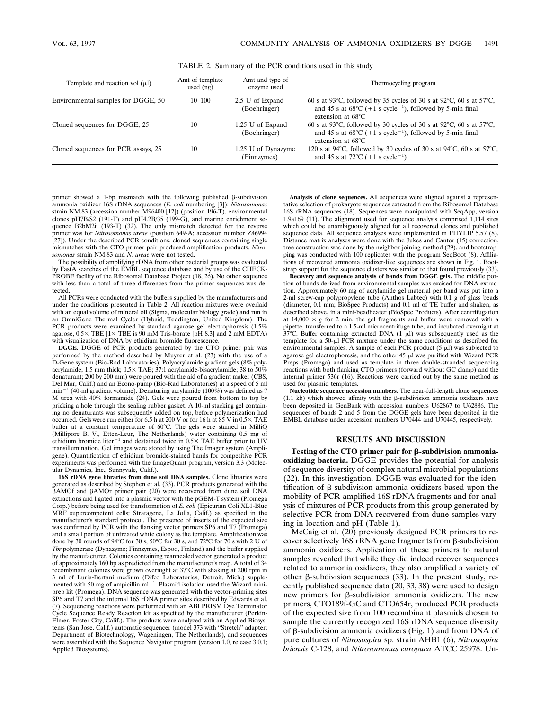TABLE 2. Summary of the PCR conditions used in this study

| Template and reaction vol $(\mu l)$ | Amt of template<br>used $(ng)$ | Amt and type of<br>enzyme used    | Thermocycling program                                                                                                                                                                                                 |
|-------------------------------------|--------------------------------|-----------------------------------|-----------------------------------------------------------------------------------------------------------------------------------------------------------------------------------------------------------------------|
| Environmental samples for DGGE, 50  | $10 - 100$                     | 2.5 U of Expand<br>(Boehringer)   | 60 s at 93 $^{\circ}$ C, followed by 35 cycles of 30 s at 92 $^{\circ}$ C, 60 s at 57 $^{\circ}$ C,<br>and 45 s at $68^{\circ}$ C (+1 s cycle <sup>-1</sup> ), followed by 5-min final<br>extension at $68^{\circ}$ C |
| Cloned sequences for DGGE, 25       | 10                             | 1.25 U of Expand<br>(Boehringer)  | 60 s at 93 $^{\circ}$ C, followed by 30 cycles of 30 s at 92 $^{\circ}$ C, 60 s at 57 $^{\circ}$ C,<br>and 45 s at $68^{\circ}$ C (+1 s cycle <sup>-1</sup> ), followed by 5-min final<br>extension at $68^{\circ}$ C |
| Cloned sequences for PCR assays, 25 | 10                             | 1.25 U of Dynazyme<br>(Finnzymes) | 120 s at 94 $\degree$ C, followed by 30 cycles of 30 s at 94 $\degree$ C, 60 s at 57 $\degree$ C,<br>and 45 s at 72 $^{\circ}$ C (+1 s cycle <sup>-1</sup> )                                                          |

primer showed a 1-bp mismatch with the following published  $\beta$ -subdivision ammonia oxidizer 16S rDNA sequences (*E. coli* numbering [3]): *Nitrosomonas* strain NM.83 (accession number M96400 [12]) (position 196-T), environmental clones pH7B/S2 (191-T) and pH4.2B/35 (199-G), and marine enrichment sequence B2bM2ii (193-T) (32). The only mismatch detected for the reverse primer was for *Nitrosomonas ureae* (position 649-A; accession number Z46994 [27]). Under the described PCR conditions, cloned sequences containing single mismatches with the CTO primer pair produced amplification products. *Nitrosomonas* strain NM.83 and *N. ureae* were not tested.

The possibility of amplifying rDNA from other bacterial groups was evaluated by FastA searches of the EMBL sequence database and by use of the CHECK-PROBE facility of the Ribosomal Database Project (18, 26). No other sequence with less than a total of three differences from the primer sequences was detected.

All PCRs were conducted with the buffers supplied by the manufacturers and under the conditions presented in Table 2. All reaction mixtures were overlaid with an equal volume of mineral oil (Sigma, molecular biology grade) and run in an OmniGene Thermal Cycler (Hybaid, Teddington, United Kingdom). The PCR products were examined by standard agarose gel electrophoresis (1.5% agarose,  $0.5 \times$  TBE  $[1 \times$  TBE is 90 mM Tris-borate [pH 8.3] and 2 mM EDTA) with visualization of DNA by ethidium bromide fluorescence.

**DGGE.** DGGE of PCR products generated by the CTO primer pair was performed by the method described by Muyzer et al. (23) with the use of a D-Gene system (Bio-Rad Laboratories). Polyacrylamide gradient gels (8% polyacrylamide; 1.5 mm thick;  $0.5 \times$  TAE; 37:1 acrylamide-bisacrylamide; 38 to 50% denaturant; 200 by 200 mm) were poured with the aid of a gradient maker (CBS, Del Mar, Calif.) and an Econo-pump (Bio-Rad Laboratories) at a speed of 5 ml  $min^{-1}$  (40-ml gradient volume). Denaturing acrylamide (100%) was defined as 7 M urea with 40% formamide (24). Gels were poured from bottom to top by pricking a hole through the sealing rubber gasket. A 10-ml stacking gel containing no denaturants was subsequently added on top, before polymerization had occurred. Gels were run either for 6.5 h at 200 V or for 16 h at 85 V in  $0.5 \times$  TAE buffer at a constant temperature of 60°C. The gels were stained in MilliQ (Millipore B. V., Etten-Leur, The Netherlands) water containing 0.5 mg of ethidium bromide liter<sup>-1</sup> and destained twice in  $0.5 \times$  TAE buffer prior to UV transillumination. Gel images were stored by using The Imager system (Ampligene). Quantification of ethidium bromide-stained bands for competitive PCR experiments was performed with the ImageQuant program, version 3.3 (Molecular Dynamics, Inc., Sunnyvale, Calif.).

**16S rDNA gene libraries from dune soil DNA samples.** Clone libraries were generated as described by Stephen et al. (33). PCR products generated with the bAMOf and bAMOr primer pair (20) were recovered from dune soil DNA extractions and ligated into a plasmid vector with the pGEM-T system (Promega Corp.) before being used for transformation of *E. coli* (Epicurian Coli XL1-Blue MRF supercompetent cells; Stratagene, La Jolla, Calif.) as specified in the manufacturer's standard protocol. The presence of inserts of the expected size was confirmed by PCR with the flanking vector primers SP6 and T7 (Promega) and a small portion of untreated white colony as the template. Amplification was done by 30 rounds of 94°C for 30 s, 50°C for 30 s, and 72°C for 70 s with 2 U of *Tbr* polymerase (Dynazyme; Finnzymes, Espoo, Finland) and the buffer supplied by the manufacturer. Colonies containing reannealed vector generated a product of approximately 160 bp as predicted from the manufacturer's map. A total of 34 recombinant colonies were grown overnight at 37°C with shaking at 200 rpm in 3 ml of Luria-Bertani medium (Difco Laboratories, Detroit, Mich.) supplemented with 50 mg of ampicillin  $ml^{-1}$ . Plasmid isolation used the Wizard miniprep kit (Promega). DNA sequence was generated with the vector-priming sites SP6 and T7 and the internal 16S rDNA primer sites described by Edwards et al. (7). Sequencing reactions were performed with an ABI PRISM Dye Terminator Cycle Sequence Ready Reaction kit as specified by the manufacturer (Perkin-Elmer, Foster City, Calif.). The products were analyzed with an Applied Biosystems (San Jose, Calif.) automatic sequencer (model 373 with "Stretch" adapter; Department of Biotechnology, Wageningen, The Netherlands), and sequences were assembled with the Sequence Navigator program (version 1.0, release 3.0.1; Applied Biosystems).

**Analysis of clone sequences.** All sequences were aligned against a representative selection of prokaryote sequences extracted from the Ribosomal Database 16S rRNA sequences (18). Sequences were manipulated with SeqApp, version 1.9a169 (11). The alignment used for sequence analysis comprised 1,114 sites which could be unambiguously aligned for all recovered clones and published sequence data. All sequence analyses were implemented in PHYLIP 5.57 (8). Distance matrix analyses were done with the Jukes and Cantor (15) correction, tree construction was done by the neighbor-joining method (29), and bootstrapping was conducted with 100 replicates with the program SeqBoot (8). Affiliations of recovered ammonia oxidizer-like sequences are shown in Fig. 1. Bootstrap support for the sequence clusters was similar to that found previously (33).

**Recovery and sequence analysis of bands from DGGE gels.** The middle portion of bands derived from environmental samples was excised for DNA extraction. Approximately 60 mg of acrylamide gel material per band was put into a 2-ml screw-cap polypropylene tube (Anthos Labtec) with 0.1 g of glass beads (diameter, 0.1 mm; BioSpec Products) and 0.1 ml of TE buffer and shaken, as described above, in a mini-beadbeater (BioSpec Products). After centrifugation at  $14,000 \times g$  for 2 min, the gel fragments and buffer were removed with a pipette, transferred to a 1.5-ml microcentrifuge tube, and incubated overnight at  $37^{\circ}$ C. Buffer containing extracted DNA (1  $\mu$ l) was subsequently used as the template for a 50-µl PCR mixture under the same conditions as described for environmental samples. A sample of each PCR product  $(5 \mu I)$  was subjected to agarose gel electrophoresis, and the other 45  $\mu$ I was purified with Wizard PCR Preps (Promega) and used as template in three double-stranded sequencing reactions with both flanking CTO primers (forward without GC clamp) and the internal primer 536r (16). Reactions were carried out by the same method as used for plasmid templates.

**Nucleotide sequence accession numbers.** The near-full-length clone sequences (1.1 kb) which showed affinity with the  $\beta$ -subdivision ammonia oxidizers have been deposited in GenBank with accession numbers U62867 to U62886. The sequences of bands 2 and 5 from the DGGE gels have been deposited in the EMBL database under accession numbers U70444 and U70445, respectively.

#### **RESULTS AND DISCUSSION**

Testing of the CTO primer pair for  $\beta$ -subdivision ammonia**oxidizing bacteria.** DGGE provides the potential for analysis of sequence diversity of complex natural microbial populations (22). In this investigation, DGGE was evaluated for the identification of b-subdivision ammonia oxidizers based upon the mobility of PCR-amplified 16S rDNA fragments and for analysis of mixtures of PCR products from this group generated by selective PCR from DNA recovered from dune samples varying in location and pH (Table 1).

McCaig et al. (20) previously designed PCR primers to recover selectively  $16S$  rRNA gene fragments from  $\beta$ -subdivision ammonia oxidizers. Application of these primers to natural samples revealed that while they did indeed recover sequences related to ammonia oxidizers, they also amplified a variety of other  $\beta$ -subdivision sequences (33). In the present study, recently published sequence data (20, 33, 38) were used to design new primers for  $\beta$ -subdivision ammonia oxidizers. The new primers, CTO189f-GC and CTO654r, produced PCR products of the expected size from 100 recombinant plasmids chosen to sample the currently recognized 16S rDNA sequence diversity of  $\beta$ -subdivision ammonia oxidizers (Fig. 1) and from DNA of pure cultures of *Nitrosospira* sp. strain AHB1 (6), *Nitrosospira briensis* C-128, and *Nitrosomonas europaea* ATCC 25978. Un-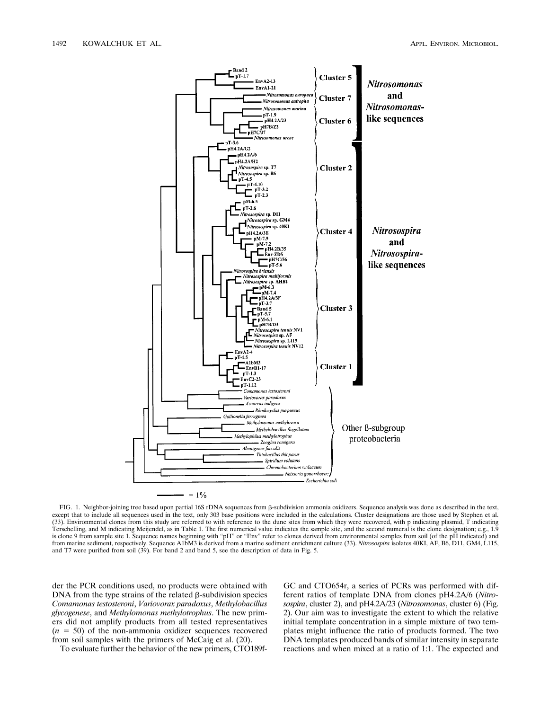

FIG. 1. Neighbor-joining tree based upon partial 16S rDNA sequences from  $\beta$ -subdivision ammonia oxidizers. Sequence analysis was done as described in the text, except that to include all sequences used in the text, only 303 base positions were included in the calculations. Cluster designations are those used by Stephen et al. (33). Environmental clones from this study are referred to with reference to the dune sites from which they were recovered, with p indicating plasmid, T indicating Terschelling, and M indicating Meijendel, as in Table 1. The first numerical value indicates the sample site, and the second numeral is the clone designation; e.g., 1.9 is clone 9 from sample site 1. Sequence names beginning with "pH" or "Env" refer to clones derived from environmental samples from soil (of the pH indicated) and from marine sediment, respectively. Sequence A1bM3 is derived from a marine sediment enrichment culture (33). *Nitrosospira* isolates 40KI, AF, B6, D11, GM4, L115, and T7 were purified from soil (39). For band 2 and band 5, see the description of data in Fig. 5.

der the PCR conditions used, no products were obtained with DNA from the type strains of the related  $\beta$ -subdivision species *Comamonas testosteroni*, *Variovorax paradoxus*, *Methylobacillus glycogenese*, and *Methylomonas methylotrophus*. The new primers did not amplify products from all tested representatives  $(n = 50)$  of the non-ammonia oxidizer sequences recovered from soil samples with the primers of McCaig et al. (20).

To evaluate further the behavior of the new primers, CTO189f-

GC and CTO654r, a series of PCRs was performed with different ratios of template DNA from clones pH4.2A/6 (*Nitrosospira*, cluster 2), and pH4.2A/23 (*Nitrosomonas*, cluster 6) (Fig. 2). Our aim was to investigate the extent to which the relative initial template concentration in a simple mixture of two templates might influence the ratio of products formed. The two DNA templates produced bands of similar intensity in separate reactions and when mixed at a ratio of 1:1. The expected and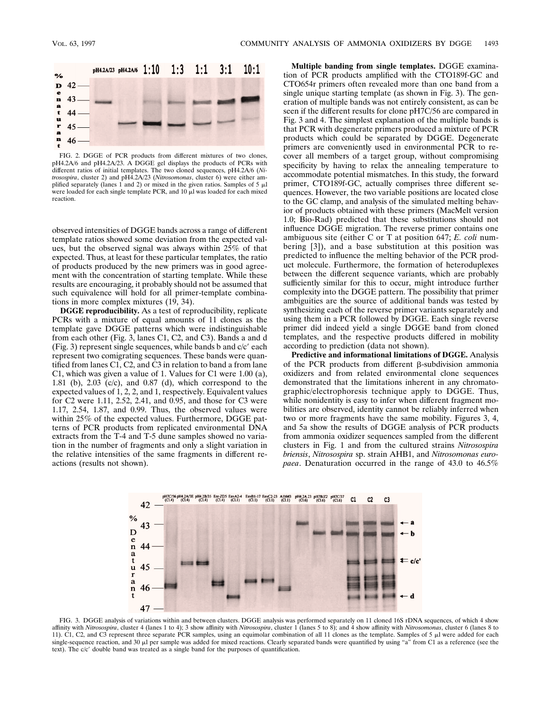

FIG. 2. DGGE of PCR products from different mixtures of two clones, pH4.2A/6 and pH4.2A/23. A DGGE gel displays the products of PCRs with different ratios of initial templates. The two cloned sequences, pH4.2A/6 (*Nitrosospira*, cluster 2) and pH4.2A/23 (*Nitrosomonas*, cluster 6) were either amplified separately (lanes 1 and 2) or mixed in the given ratios. Samples of 5  $\mu$ l were loaded for each single template PCR, and 10  $\mu$ l was loaded for each mixed reaction.

observed intensities of DGGE bands across a range of different template ratios showed some deviation from the expected values, but the observed signal was always within 25% of that expected. Thus, at least for these particular templates, the ratio of products produced by the new primers was in good agreement with the concentration of starting template. While these results are encouraging, it probably should not be assumed that such equivalence will hold for all primer-template combinations in more complex mixtures (19, 34).

**DGGE reproducibility.** As a test of reproducibility, replicate PCRs with a mixture of equal amounts of 11 clones as the template gave DGGE patterns which were indistinguishable from each other (Fig. 3, lanes C1, C2, and C3). Bands a and d (Fig. 3) represent single sequences, while bands b and  $c/c'$  each represent two comigrating sequences. These bands were quantified from lanes C1, C2, and C3 in relation to band a from lane C1, which was given a value of 1. Values for C1 were 1.00 (a), 1.81 (b), 2.03 (c/c), and 0.87 (d), which correspond to the expected values of 1, 2, 2, and 1, respectively. Equivalent values for C2 were 1.11, 2.52, 2.41, and 0.95, and those for C3 were 1.17, 2.54, 1.87, and 0.99. Thus, the observed values were within 25% of the expected values. Furthermore, DGGE patterns of PCR products from replicated environmental DNA extracts from the T-4 and T-5 dune samples showed no variation in the number of fragments and only a slight variation in the relative intensities of the same fragments in different reactions (results not shown).

**Multiple banding from single templates.** DGGE examination of PCR products amplified with the CTO189f-GC and CTO654r primers often revealed more than one band from a single unique starting template (as shown in Fig. 3). The generation of multiple bands was not entirely consistent, as can be seen if the different results for clone pH7C/56 are compared in Fig. 3 and 4. The simplest explanation of the multiple bands is that PCR with degenerate primers produced a mixture of PCR products which could be separated by DGGE. Degenerate primers are conveniently used in environmental PCR to recover all members of a target group, without compromising specificity by having to relax the annealing temperature to accommodate potential mismatches. In this study, the forward primer, CTO189f-GC, actually comprises three different sequences. However, the two variable positions are located close to the GC clamp, and analysis of the simulated melting behavior of products obtained with these primers (MacMelt version 1.0; Bio-Rad) predicted that these substitutions should not influence DGGE migration. The reverse primer contains one ambiguous site (either C or T at position 647; *E. coli* numbering [3]), and a base substitution at this position was predicted to influence the melting behavior of the PCR product molecule. Furthermore, the formation of heteroduplexes between the different sequence variants, which are probably sufficiently similar for this to occur, might introduce further complexity into the DGGE pattern. The possibility that primer ambiguities are the source of additional bands was tested by synthesizing each of the reverse primer variants separately and using them in a PCR followed by DGGE. Each single reverse primer did indeed yield a single DGGE band from cloned templates, and the respective products differed in mobility according to prediction (data not shown).

**Predictive and informational limitations of DGGE.** Analysis of the PCR products from different  $\beta$ -subdivision ammonia oxidizers and from related environmental clone sequences demonstrated that the limitations inherent in any chromatographic/electrophoresis technique apply to DGGE. Thus, while nonidentity is easy to infer when different fragment mobilities are observed, identity cannot be reliably inferred when two or more fragments have the same mobility. Figures 3, 4, and 5a show the results of DGGE analysis of PCR products from ammonia oxidizer sequences sampled from the different clusters in Fig. 1 and from the cultured strains *Nitrosospira briensis*, *Nitrosospira* sp. strain AHB1, and *Nitrosomonas europaea*. Denaturation occurred in the range of 43.0 to 46.5%



FIG. 3. DGGE analysis of variations within and between clusters. DGGE analysis was performed separately on 11 cloned 16S rDNA sequences, of which 4 show affinity with *Nitrosospira*, cluster 4 (lanes 1 to 4); 3 show affinity with *Nitrosospira*, cluster 1 (lanes 5 to 8); and 4 show affinity with *Nitrosomonas*, cluster 6 (lanes 8 to 11). C1, C2, and C3 represent three separate PCR samples, using an equimolar combination of all 11 clones as the template. Samples of 5  $\mu$ l were added for each single-sequence reaction, and 30  $\mu$ l per sample was added for mixed reactions. Clearly separated bands were quantified by using "a" from C1 as a reference (see the text). The c/c' double band was treated as a single band for the purposes of quantification.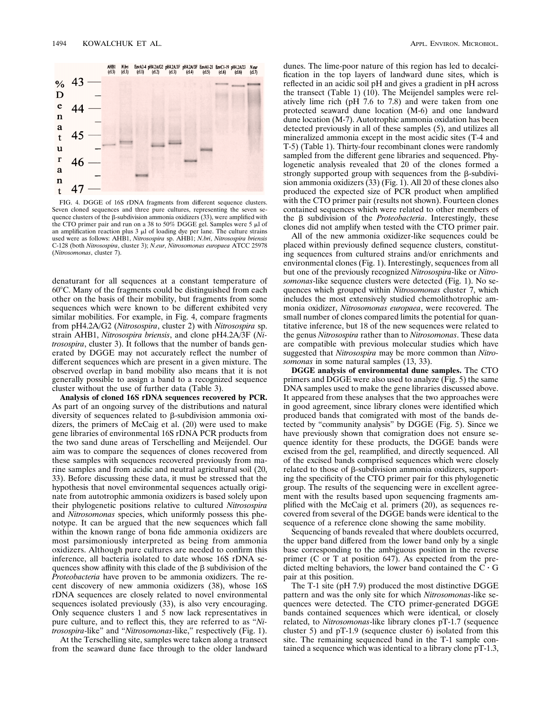

FIG. 4. DGGE of 16S rDNA fragments from different sequence clusters. Seven cloned sequences and three pure cultures, representing the seven sequence clusters of the  $\beta$ -subdivision ammonia oxidizers (33), were amplified with the CTO primer pair and run on a 38 to 50% DGGE gel. Samples were 5  $\mu$ l of an amplification reaction plus  $3 \mu l$  of loading dye per lane. The culture strains used were as follows: AHB1, *Nitrosospira* sp. AHB1; *N.bri*, *Nitrosospira briensis* C-128 (both *Nitrosospira*, cluster 3); *N.eur*, *Nitrosomonas europaea* ATCC 25978 (*Nitrosomonas*, cluster 7).

denaturant for all sequences at a constant temperature of  $60^{\circ}$ C. Many of the fragments could be distinguished from each other on the basis of their mobility, but fragments from some sequences which were known to be different exhibited very similar mobilities. For example, in Fig. 4, compare fragments from pH4.2A/G2 (*Nitrosospira*, cluster 2) with *Nitrosospira* sp. strain AHB1, *Nitrosospira briensis*, and clone pH4.2A/3F (*Nitrosospira*, cluster 3). It follows that the number of bands generated by DGGE may not accurately reflect the number of different sequences which are present in a given mixture. The observed overlap in band mobility also means that it is not generally possible to assign a band to a recognized sequence cluster without the use of further data (Table 3).

**Analysis of cloned 16S rDNA sequences recovered by PCR.** As part of an ongoing survey of the distributions and natural diversity of sequences related to  $\beta$ -subdivision ammonia oxidizers, the primers of McCaig et al. (20) were used to make gene libraries of environmental 16S rDNA PCR products from the two sand dune areas of Terschelling and Meijendel. Our aim was to compare the sequences of clones recovered from these samples with sequences recovered previously from marine samples and from acidic and neutral agricultural soil (20, 33). Before discussing these data, it must be stressed that the hypothesis that novel environmental sequences actually originate from autotrophic ammonia oxidizers is based solely upon their phylogenetic positions relative to cultured *Nitrosospira* and *Nitrosomonas* species, which uniformly possess this phenotype. It can be argued that the new sequences which fall within the known range of bona fide ammonia oxidizers are most parsimoniously interpreted as being from ammonia oxidizers. Although pure cultures are needed to confirm this inference, all bacteria isolated to date whose 16S rDNA sequences show affinity with this clade of the  $\beta$  subdivision of the *Proteobacteria* have proven to be ammonia oxidizers. The recent discovery of new ammonia oxidizers (38), whose 16S rDNA sequences are closely related to novel environmental sequences isolated previously (33), is also very encouraging. Only sequence clusters 1 and 5 now lack representatives in pure culture, and to reflect this, they are referred to as "*Nitrosospira*-like" and "*Nitrosomonas*-like," respectively (Fig. 1).

At the Terschelling site, samples were taken along a transect from the seaward dune face through to the older landward dunes. The lime-poor nature of this region has led to decalcification in the top layers of landward dune sites, which is reflected in an acidic soil pH and gives a gradient in pH across the transect (Table 1)  $(10)$ . The Meijendel samples were relatively lime rich (pH 7.6 to 7.8) and were taken from one protected seaward dune location (M-6) and one landward dune location (M-7). Autotrophic ammonia oxidation has been detected previously in all of these samples (5), and utilizes all mineralized ammonia except in the most acidic sites (T-4 and T-5) (Table 1). Thirty-four recombinant clones were randomly sampled from the different gene libraries and sequenced. Phylogenetic analysis revealed that 20 of the clones formed a strongly supported group with sequences from the  $\beta$ -subdivision ammonia oxidizers (33) (Fig. 1). All 20 of these clones also produced the expected size of PCR product when amplified with the CTO primer pair (results not shown). Fourteen clones contained sequences which were related to other members of the β subdivision of the *Proteobacteria*. Interestingly, these clones did not amplify when tested with the CTO primer pair.

All of the new ammonia oxidizer-like sequences could be placed within previously defined sequence clusters, constituting sequences from cultured strains and/or enrichments and environmental clones (Fig. 1). Interestingly, sequences from all but one of the previously recognized *Nitrosospira*-like or *Nitrosomonas*-like sequence clusters were detected (Fig. 1). No sequences which grouped within *Nitrosomonas* cluster 7, which includes the most extensively studied chemolithotrophic ammonia oxidizer, *Nitrosomonas europaea*, were recovered. The small number of clones compared limits the potential for quantitative inference, but 18 of the new sequences were related to the genus *Nitrosospira* rather than to *Nitrosomonas*. These data are compatible with previous molecular studies which have suggested that *Nitrosospira* may be more common than *Nitrosomonas* in some natural samples (13, 33).

**DGGE analysis of environmental dune samples.** The CTO primers and DGGE were also used to analyze (Fig. 5) the same DNA samples used to make the gene libraries discussed above. It appeared from these analyses that the two approaches were in good agreement, since library clones were identified which produced bands that comigrated with most of the bands detected by "community analysis" by DGGE (Fig. 5). Since we have previously shown that comigration does not ensure sequence identity for these products, the DGGE bands were excised from the gel, reamplified, and directly sequenced. All of the excised bands comprised sequences which were closely related to those of  $\beta$ -subdivision ammonia oxidizers, supporting the specificity of the CTO primer pair for this phylogenetic group. The results of the sequencing were in excellent agreement with the results based upon sequencing fragments amplified with the McCaig et al. primers (20), as sequences recovered from several of the DGGE bands were identical to the sequence of a reference clone showing the same mobility.

Sequencing of bands revealed that where doublets occurred, the upper band differed from the lower band only by a single base corresponding to the ambiguous position in the reverse primer (C or T at position 647). As expected from the predicted melting behaviors, the lower band contained the  $C \cdot G$ pair at this position.

The T-1 site (pH 7.9) produced the most distinctive DGGE pattern and was the only site for which *Nitrosomonas*-like sequences were detected. The CTO primer-generated DGGE bands contained sequences which were identical, or closely related, to *Nitrosomonas*-like library clones pT-1.7 (sequence cluster 5) and pT-1.9 (sequence cluster 6) isolated from this site. The remaining sequenced band in the T-1 sample contained a sequence which was identical to a library clone pT-1.3,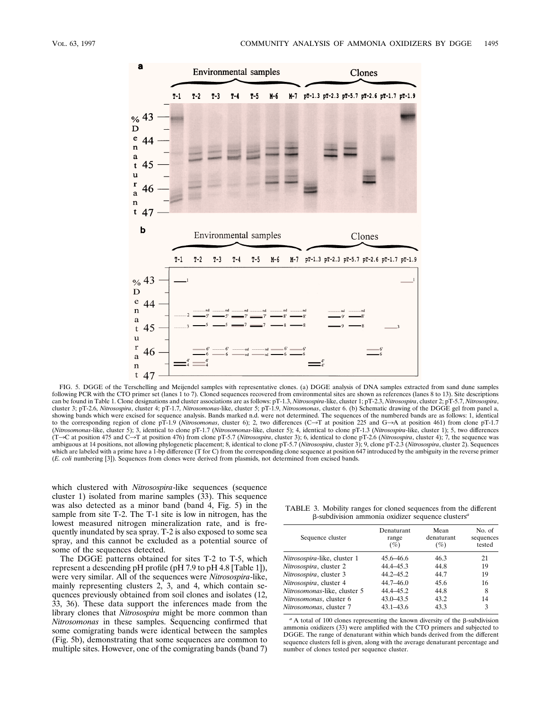

FIG. 5. DGGE of the Terschelling and Meijendel samples with representative clones. (a) DGGE analysis of DNA samples extracted from sand dune samples following PCR with the CTO primer set (lanes 1 to 7). Cloned sequences recovered from environmental sites are shown as references (lanes 8 to 13). Site descriptions can be found in Table 1. Clone designations and cluster associations are as follows: pT-1.3, *Nitrosospira*-like, cluster 1; pT-2.3, *Nitrosospira*, cluster 2; pT-5.7, *Nitrosospira*, cluster 3; pT-2.6, *Nitrosospira*, cluster 4; pT-1.7, *Nitrosomonas*-like, cluster 5; pT-1.9, *Nitrosomonas*, cluster 6. (b) Schematic drawing of the DGGE gel from panel a, showing bands which were excised for sequence analysis. Bands marked n.d. were not determined. The sequences of the numbered bands are as follows: 1, identical to the corresponding region of clone pT-1.9 (*Nitrosomonas*, cluster 6); 2, two differences (C->T at position 225 and G->A at position 461) from clone pT-1.7 (*Nitrosomonas*-like, cluster 5); 3, identical to clone pT-1.7 (*Nitrosomonas*-like, cluster 5); 4, identical to clone pT-1.3 (*Nitrosospira*-like, cluster 1); 5, two differences  $(T \rightarrow C$  at position 475 and  $C \rightarrow T$  at position 476) from clone pT-5.7 (*Nitrosospira*, cluster 3); 6, identical to clone pT-2.6 (*Nitrosospira*, cluster 4); 7, the sequence was ambiguous at 14 positions, not allowing phylogenetic placement; 8, identical to clone pT-5.7 (*Nitrosospira*, cluster 3); 9, clone pT-2.3 (*Nitrosospira*, cluster 2). Sequences which are labeled with a prime have a 1-bp difference (T for C) from the corresponding clone sequence at position 647 introduced by the ambiguity in the reverse primer (*E. coli* numbering [3]). Sequences from clones were derived from plasmids, not determined from excised bands.

which clustered with *Nitrosospira*-like sequences (sequence cluster 1) isolated from marine samples (33). This sequence was also detected as a minor band (band 4, Fig. 5) in the sample from site T-2. The T-1 site is low in nitrogen, has the lowest measured nitrogen mineralization rate, and is frequently inundated by sea spray. T-2 is also exposed to some sea spray, and this cannot be excluded as a potential source of some of the sequences detected.

The DGGE patterns obtained for sites T-2 to T-5, which represent a descending pH profile (pH 7.9 to pH 4.8 [Table 1]), were very similar. All of the sequences were *Nitrosospira*-like, mainly representing clusters 2, 3, and 4, which contain sequences previously obtained from soil clones and isolates (12, 33, 36). These data support the inferences made from the library clones that *Nitrosospira* might be more common than *Nitrosomonas* in these samples. Sequencing confirmed that some comigrating bands were identical between the samples (Fig. 5b), demonstrating that some sequences are common to multiple sites. However, one of the comigrating bands (band 7)

TABLE 3. Mobility ranges for cloned sequences from the different b-subdivision ammonia oxidizer sequence clusters*<sup>a</sup>*

| Sequence cluster             | Denaturant<br>range<br>(%) | Mean<br>denaturant<br>(%) | No. of<br>sequences<br>tested |
|------------------------------|----------------------------|---------------------------|-------------------------------|
| Nitrosospira-like, cluster 1 | 45.6–46.6                  | 46.3                      | 21                            |
| Nitrosospira, cluster 2      | 44.4–45.3                  | 44.8                      | 19                            |
| Nitrosospira, cluster 3      | $44.2 - 45.2$              | 44.7                      | 19                            |
| Nitrosospira, cluster 4      | $44.7 - 46.0$              | 45.6                      | 16                            |
| Nitrosomonas-like, cluster 5 | 44.4-45.2                  | 44.8                      | 8                             |
| Nitrosomonas, cluster 6      | $43.0 - 43.5$              | 43.2                      | 14                            |
| Nitrosomonas, cluster 7      | $43.1 - 43.6$              | 43.3                      | 3                             |

 $a<sup>a</sup>$  A total of 100 clones representing the known diversity of the  $\beta$ -subdivision ammonia oxidizers (33) were amplified with the CTO primers and subjected to DGGE. The range of denaturant within which bands derived from the different sequence clusters fell is given, along with the average denaturant percentage and number of clones tested per sequence cluster.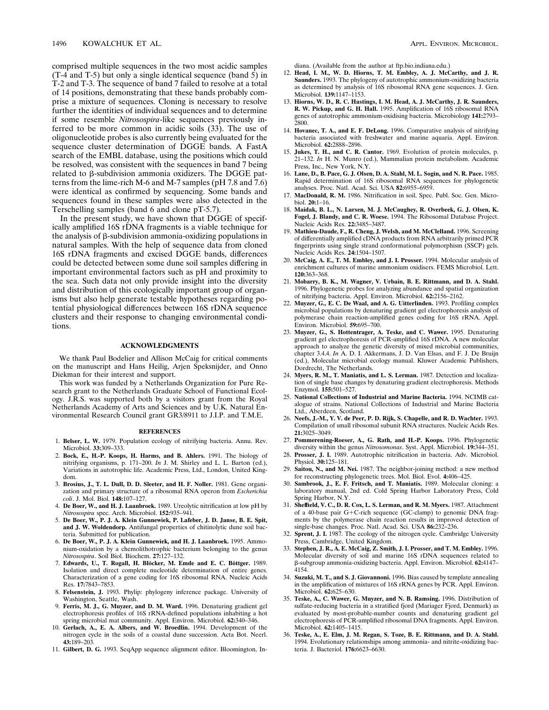comprised multiple sequences in the two most acidic samples (T-4 and T-5) but only a single identical sequence (band 5) in T-2 and T-3. The sequence of band 7 failed to resolve at a total of 14 positions, demonstrating that these bands probably comprise a mixture of sequences. Cloning is necessary to resolve further the identities of individual sequences and to determine if some resemble *Nitrosospira*-like sequences previously inferred to be more common in acidic soils (33). The use of oligonucleotide probes is also currently being evaluated for the sequence cluster determination of DGGE bands. A FastA search of the EMBL database, using the positions which could be resolved, was consistent with the sequences in band 7 being related to  $\beta$ -subdivision ammonia oxidizers. The DGGE patterns from the lime-rich M-6 and M-7 samples (pH 7.8 and 7.6) were identical as confirmed by sequencing. Some bands and sequences found in these samples were also detected in the Terschelling samples (band 6 and clone pT-5.7).

In the present study, we have shown that DGGE of specifically amplified 16S rDNA fragments is a viable technique for the analysis of  $\beta$ -subdivision ammonia-oxidizing populations in natural samples. With the help of sequence data from cloned 16S rDNA fragments and excised DGGE bands, differences could be detected between some dune soil samples differing in important environmental factors such as pH and proximity to the sea. Such data not only provide insight into the diversity and distribution of this ecologically important group of organisms but also help generate testable hypotheses regarding potential physiological differences between 16S rDNA sequence clusters and their response to changing environmental conditions.

### **ACKNOWLEDGMENTS**

We thank Paul Bodelier and Allison McCaig for critical comments on the manuscript and Hans Heilig, Arjen Speksnijder, and Onno Diekman for their interest and support.

This work was funded by a Netherlands Organization for Pure Research grant to the Netherlands Graduate School of Functional Ecology. J.R.S. was supported both by a visitors grant from the Royal Netherlands Academy of Arts and Sciences and by U.K. Natural Environmental Research Council grant GR3/8911 to J.I.P. and T.M.E.

#### **REFERENCES**

- 1. **Belser, L. W.** 1979. Population ecology of nitrifying bacteria. Annu. Rev. Microbiol. **33:**309–333.
- 2. **Bock, E., H.-P. Koops, H. Harms, and B. Ahlers.** 1991. The biology of nitrifying organisms, p. 171–200. *In* J. M. Shirley and L. L. Barton (ed.), Variations in autotrophic life. Academic Press, Ltd., London, United Kingdom.
- 3. **Brosius, J., T. L. Dull, D. D. Sleeter, and H. F. Noller.** 1981. Gene organization and primary structure of a ribosomal RNA operon from *Escherichia coli*. J. Mol. Biol. **148:**107–127.
- 4. **De Boer, W., and H. J. Laanbroek.** 1989. Ureolytic nitrification at low pH by *Nitrosospira* spec. Arch. Microbiol. **152:**935–941.
- 5. **De Boer, W., P. J. A. Klein Gunnewiek, P. Lafeber, J. D. Janse, B. E. Spit, and J. W. Woldendorp.** Antifungal properties of chitinolytic dune soil bacteria. Submitted for publication.
- 6. **De Boer, W., P. J. A. Klein Gunnewiek, and H. J. Laanbroek.** 1995. Ammonium-oxidation by a chemolithotrophic bacterium belonging to the genus *Nitrosospira*. Soil Biol. Biochem. **27:**127–132.
- 7. Edwards, U., T. Rogall, H. Blöcker, M. Emde and E. C. Böttger. 1989. Isolation and direct complete nucleotide determination of entire genes. Characterization of a gene coding for 16S ribosomal RNA. Nucleic Acids Res. **17:**7843–7853.
- 8. **Felsenstein, J.** 1993. Phylip: phylogeny inference package. University of Washington, Seattle, Wash.
- 9. **Ferris, M. J., G. Muyzer, and D. M. Ward.** 1996. Denaturing gradient gel electrophoresis profiles of 16S rRNA-defined populations inhabiting a hot spring microbial mat community. Appl. Environ. Microbiol. **62:**340–346.
- 10. **Gerlach, A., E. A. Albers, and W. Broedlin.** 1994. Development of the nitrogen cycle in the soils of a coastal dune succession. Acta Bot. Neerl. **43:**189–203.
- 11. **Gilbert, D. G.** 1993. SeqApp sequence alignment editor. Bloomington, In-

diana. (Available from the author at ftp.bio.indiana.edu.)

- 12. **Head, I. M., W. D. Hiorns, T. M. Embley, A. J. McCarthy, and J. R. Saunders.** 1993. The phylogeny of autotrophic ammonium-oxidizing bacteria as determined by analysis of 16S ribosomal RNA gene sequences. J. Gen. Microbiol. **139:**1147–1153.
- 13. **Hiorns, W. D., R. C. Hastings, I. M. Head, A. J. McCarthy, J. R. Saunders, R. W. Pickup, and G. H. Hall.** 1995. Amplification of 16S ribosomal RNA genes of autotrophic ammonium-oxidising bacteria. Microbiology **141:**2793– 2800.
- 14. **Hovanec, T. A., and E. F. DeLong.** 1996. Comparative analysis of nitrifying bacteria associated with freshwater and marine aquaria. Appl. Environ. Microbiol. **62:**2888–2896.
- 15. **Jukes, T. H., and C. R. Cantor.** 1969. Evolution of protein molecules, p. 21–132. *In* H. N. Munro (ed.), Mammalian protein metabolism. Academic Press, Inc., New York, N.Y.
- 16. **Lane, D., B. Pace, G. J. Olsen, D. A. Stahl, M. L. Sogin, and N. R. Pace.** 1985. Rapid determination of 16S ribosomal RNA sequences for phylogenetic analyses. Proc. Natl. Acad. Sci. USA **82:**6955–6959.
- 17. **MacDonald, R. M.** 1986. Nitrification in soil. Spec. Publ. Soc. Gen. Microbiol. **20:**1–16.
- 18. **Maidak, B. L., N. Larsen, M. J. McCaughey, R. Overbeek, G. J. Olsen, K. Fogel, J. Blandy, and C. R. Woese.** 1994. The Ribosomal Database Project. Nucleic Acids Res. **22:**3485–3487.
- 19. **Mathieu-Daude, F., R. Cheng, J. Welsh, and M. McClelland.** 1996. Screening of differentially amplified cDNA products from RNA arbitrarily primed PCR fingerprints using single strand conformational polymorphism (SSCP) gels. Nucleic Acids Res. **24:**1504–1507.
- 20. **McCaig, A. E., T. M. Embley, and J. I. Prosser.** 1994. Molecular analysis of enrichment cultures of marine ammonium oxidisers. FEMS Microbiol. Lett. **120:**363–368.
- 21. **Mobarry, B. K., M. Wagner, V. Urbain, B. E. Rittmann, and D. A. Stahl.** 1996. Phylogenetic probes for analyzing abundance and spatial organization of nitrifying bacteria. Appl. Environ. Microbiol. **62:**2156–2162.
- 22. **Muyzer, G., E. C. De Waal, and A. G. Uitterlinden.** 1993. Profiling complex microbial populations by denaturing gradient gel electrophoresis analysis of polymerase chain reaction-amplified genes coding for 16S rRNA. Appl. Environ. Microbiol. **59:**695–700.
- 23. **Muyzer, G., S. Hottentrager, A. Teske, and C. Wawer.** 1995. Denaturing gradient gel electrophoresis of PCR-amplified 16S rDNA. A new molecular approach to analyze the genetic diversity of mixed microbial communities, chapter 3.4.4. *In* A. D. I. Akkermans, J. D. Van Elsas, and F. J. De Bruijn (ed.), Molecular microbial ecology manual. Kluwer Academic Publishers, Dordrecht, The Netherlands.
- 24. **Myers, R. M., T. Maniatis, and L. S. Lerman.** 1987. Detection and localization of single base changes by denaturing gradient electrophoresis. Methods Enzymol. **155:**501–527.
- 25. **National Collections of Industrial and Marine Bacteria.** 1994. NCIMB catalogue of strains. National Collections of Industrial and Marine Bacteria Ltd., Aberdeen, Scotland.
- 26. **Neefs, J.-M., Y. V. de Peer, P. D. Rijk, S. Chapelle, and R. D. Wachter.** 1993. Compilation of small ribosomal subunit RNA structures. Nucleic Acids Res. **21:**3025–3049.
- 27. **Pommerening-Roeser, A., G. Rath, and H.-P. Koops.** 1996. Phylogenetic diversity within the genus *Nitrosomonas*. Syst. Appl. Microbiol. **19:**344–351.
- 28. **Prosser, J. I.** 1989. Autotrophic nitrification in bacteria. Adv. Microbiol. Physiol. **30:**125–181.
- 29. **Saitou, N., and M. Nei.** 1987. The neighbor-joining method: a new method for reconstructing phylogenetic trees. Mol. Biol. Evol. **4:**406–425.
- 30. **Sambrook, J., E. F. Fritsch, and T. Maniatis.** 1989. Molecular cloning: a laboratory manual, 2nd ed. Cold Spring Harbor Laboratory Press, Cold Spring Harbor, N.Y.
- 31. **Sheffield, V. C., D. R. Cox, L. S. Lerman, and R. M. Myers.** 1987. Attachment of a 40-base pair G+C-rich sequence (GC-clamp) to genomic DNA fragments by the polymerase chain reaction results in improved detection of single-base changes. Proc. Natl. Acad. Sci. USA **86:**232–236.
- 32. **Sprent, J. I.** 1987. The ecology of the nitrogen cycle. Cambridge University Press, Cambridge, United Kingdom.
- 33. **Stephen, J. R., A. E. McCaig, Z. Smith, J. I. Prosser, and T. M. Embley.** 1996. Molecular diversity of soil and marine 16S rDNA sequences related to b-subgroup ammonia-oxidizing bacteria. Appl. Environ. Microbiol. **62:**4147– 4154.
- 34. **Suzuki, M. T., and S. J. Giovannoni.** 1996. Bias caused by template annealing in the amplification of mixtures of 16S rRNA genes by PCR. Appl. Environ. Microbiol. **62:**625–630.
- 35. **Teske, A., C. Wawer, G. Muyzer, and N. B. Ramsing.** 1996. Distribution of sulfate-reducing bacteria in a stratified fjord (Mariager Fjord, Denmark) as evaluated by most-probable-number counts and denaturing gradient gel electrophoresis of PCR-amplified ribosomal DNA fragments. Appl. Environ. Microbiol. **62:**1405–1415.
- 36. **Teske, A., E. Elm, J. M. Regan, S. Toze, B. E. Rittmann, and D. A. Stahl.** 1994. Evolutionary relationships among ammonia- and nitrite-oxidizing bacteria. J. Bacteriol. **176:**6623–6630.